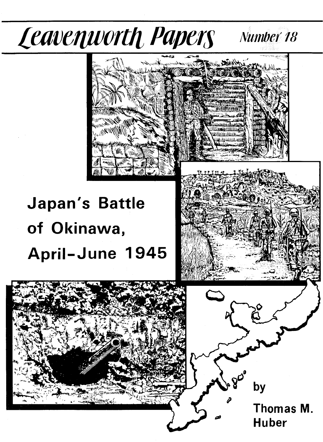### Leavenworth Papers Number 18



# **Japan's Battle** of Okinawa, April-June 1945

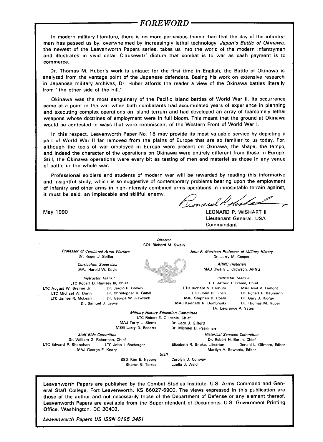#### *FOREWORD*

In modern military literature, there is no more pernicious theme than that the day of the infantryman has passed us by, overwhelmed by increasingly lethal technology. Japan's Battle of Okinawa, the newest of the Leavenworth Papers series, takes us into the world of the modern infantryman and illustrates in vivid detail Clausewitz' dictum that combat is to war as cash payment is to commerce.

Dr. Thomas M. Huber's work is unique: for the first time in English, the Battle of Okinawa is analyzed from the vantage point of the Japanese defenders. Basing his work on extensive research in Japanese military archives, Dr. Huber affords the reader a view of the Okinawa battles literally from "the other side of the hill."

Okinawa was the most sanguinary of the Pacific island battles of World War II. Its occurrence came at a point in the war when both combatants had accumulated years of experience in planning and executing complex operations on island terrain and had developed an array of fearsomely lethal weapons whose doctrines of employment were in full bloom. This meant that the ground at Okinawa would be contested in ways that were reminiscent of the Western Front of World War I.

In this respect, Leavenworth Paper No. 18 may provide its most valuable service by depicting a part of World War II far removed from the plains of Europe that are so familiar to us today. For, although the tools of war employed in Europe were present on Okinawa, the shape, the tempo, and indeed the character of the operations on Okinawa were entirely different from those in Europe. Still, the Okinawa operations were every bit as testing of men and materiel as those in any venue of battle in the whole war.

Professional soldiers and students of modern war will be rewarded by reading this informative and insightful study, which is so suggestive of contemporary problems bearing upon the employment of infantry and other arms in high-intensity combined arms operations in inhospitable terrain against, it must be said, an implacable and skillful enemy.

May 1990 LEONARD P. WISHART III Lieutenant General, USA Commandant

**Director** COL **Richard** M. Swain Professor of Combined Arms Warfare Dr. Roger J. Spiller Curriculum Supervisor MAJ Harold W. Coyle Instructor Team I LTC Robert D. Ramsey III, Chief<br>J. Bremer Jr. **Dr. Jerold E. Brown** LTC August W. Bremer Jr.<br>LTC Michael W. Dunn Dr. Christopher R. Gabel LTC James R. McLean Dr. George W. Gawrych Dr. Samuel J. Lewis John F. Morrison Professor of Military History Dr. Jerry M. Cooper ARNG Historian MAJ Dwain L. Crowson, ARNG Instructor Team *II* LTC Arthur T. Frame, Chief LTC Richard V. Barbuto MAJ Neil V. Lamont LTC John R. Finch Dr. Robert F. Baumann MAJ Stephen D. Coats Dr. Gary J. Bjorge MAJ Kenneth R. Dombroski Dr. Thomas M. Huber Dr. Lawrence A. Yates Military History Education Committee LTC Robert E. Gillespie, Chief MAJ Terry L. Siems Dr. Jack J. Gifford<br>MSG Larry D. Roberts Dr. Michael D. Pea Dr. Michael D. Pearlman Staff Ride Committee **Historical Services Committee** Historical Services Committee Dr. William G. Robertson, Chief Dr. Robert H. Berlin, Chief Dr. Robert H. Berlin, Chief LTC Edward P. Shanahan LTC John 1. Boxberger Elizabeth R. Snoke, Librarian Donald L. Gilmore, Editor MAJ George E. Knapp **Marilyn A. Edwards, Editor** Marilyn A. Edwards, Editor **Staff** SSG Kim E. Nyberg Sharon E. Torres Carolyn D. Conway Luella J. Welch

Leavenworth Papers are published by the Combat Studies Institute, U.S. Army Command and General Staff College, Fort Leavenworth, KS 66027-6900. The views expressed in this publication are those of the author and not necessarily those of the Department of Defense or any element thereof. Leavenworth Papers are available from the Superintendent of Documents, U.S. Government Printing Office, Washington, DC 20402.

Leavenworth Papers US ISSN 0195 3451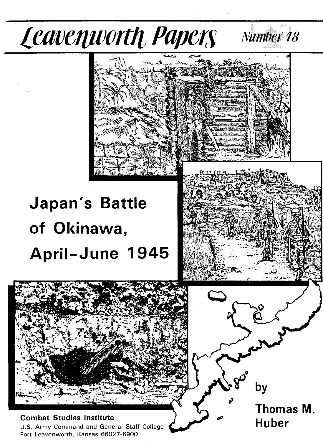

**Combat Studies Institute** U.S. Army Command and General Staff College Fort Leavenworth, Kansas 66027-6900

Thomas M. **Huber**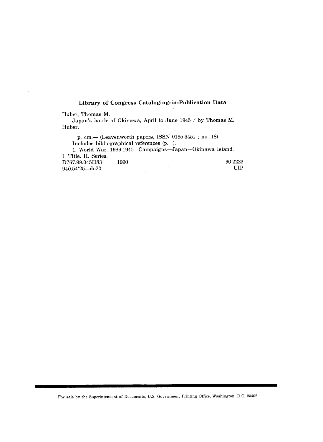#### **Library of Congress Cataloging-in-Publication Data**

Huber, Thomas M.

Japan's battle of Okinawa, April to June 1945 / by Thomas M. Huber.

p. cm.- (Leavenworth papers, ISSN 0195-3451; no. 18) Includes bibliographical references (p. ). 1. World War, 1939-1945-Campaigns-Japan-Okinawa Island. I. Title. II. Series. D767.99.045H83 1990 90-2223<br>940.54'25—dc20 CIP  $940.54'25 - dc20$ 

For sale by the Superintendent of Documents, U.S. Government Printing Office, Washington, D.C. 20402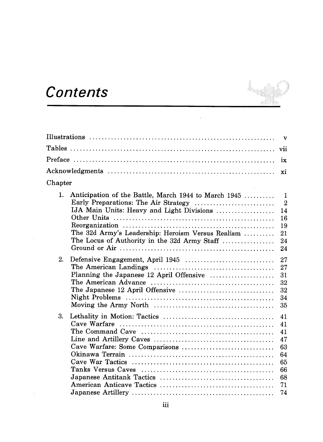# Contents

J.

 $\hat{\boldsymbol{\beta}}$ 

|                                                                                                                                                                                                                          | $\mathbf{v}$                                                       |
|--------------------------------------------------------------------------------------------------------------------------------------------------------------------------------------------------------------------------|--------------------------------------------------------------------|
|                                                                                                                                                                                                                          | vii                                                                |
|                                                                                                                                                                                                                          | $\overline{1}x$                                                    |
|                                                                                                                                                                                                                          | xi                                                                 |
| Chapter                                                                                                                                                                                                                  |                                                                    |
| $\mathbf{1}$ .<br>Anticipation of the Battle, March 1944 to March 1945<br>IJA Main Units: Heavy and Light Divisions<br>The 32d Army's Leadership: Heroism Versus Realism<br>The Locus of Authority in the 32d Army Staff | $\mathbf{1}$<br>$\overline{2}$<br>14<br>16<br>19<br>21<br>24<br>24 |
| 2.<br>Planning the Japanese 12 April Offensive                                                                                                                                                                           | 27<br>27<br>31<br>32<br>32<br>34<br>35                             |
| 3.<br>Cave Warfare: Some Comparisons                                                                                                                                                                                     | 41<br>41<br>41<br>47<br>63<br>64<br>65<br>66<br>68<br>71<br>74     |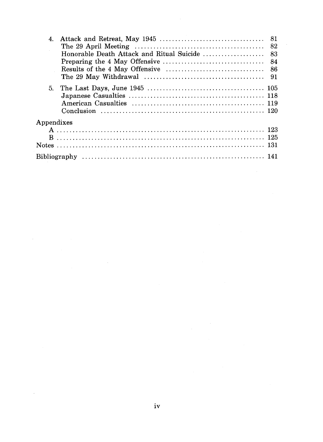| 4.                     |                                                                                                               |  |
|------------------------|---------------------------------------------------------------------------------------------------------------|--|
|                        | The 29 April Meeting $\ldots \ldots \ldots \ldots \ldots \ldots \ldots \ldots \ldots \ldots \ldots \ldots$ 82 |  |
|                        |                                                                                                               |  |
|                        |                                                                                                               |  |
|                        |                                                                                                               |  |
|                        |                                                                                                               |  |
|                        |                                                                                                               |  |
|                        |                                                                                                               |  |
|                        |                                                                                                               |  |
|                        |                                                                                                               |  |
| ${\Large\bf Appendix $ |                                                                                                               |  |
|                        |                                                                                                               |  |
|                        |                                                                                                               |  |
|                        |                                                                                                               |  |
|                        |                                                                                                               |  |

 $\mathcal{A}^{\mathcal{A}}$ 

 $\hat{\boldsymbol{\beta}}$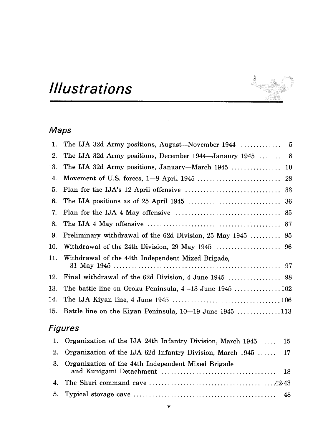# *Illustrations*

### Maps

| 1.  |                                                               |  |
|-----|---------------------------------------------------------------|--|
| 2.  | The IJA 32d Army positions, December $1944$ —Janaury $1945$ 8 |  |
| 3.  |                                                               |  |
| 4.  |                                                               |  |
| 5.  |                                                               |  |
| 6.  |                                                               |  |
| 7.  |                                                               |  |
| 8.  |                                                               |  |
| 9.  | Preliminary withdrawal of the 62d Division, 25 May 1945  95   |  |
| 10. |                                                               |  |
|     | 11. Withdrawal of the 44th Independent Mixed Brigade,         |  |
| 12. |                                                               |  |
| 13. |                                                               |  |
| 14. |                                                               |  |
| 15. | Battle line on the Kiyan Peninsula, $10-19$ June $1945$ 113   |  |
|     |                                                               |  |

i

#### Figures

| 1. Organization of the IJA 24th Infantry Division, March 1945  15 |  |
|-------------------------------------------------------------------|--|
| 2. Organization of the IJA 62d Infantry Division, March 1945  17  |  |
| 3. Organization of the 44th Independent Mixed Brigade             |  |
|                                                                   |  |
|                                                                   |  |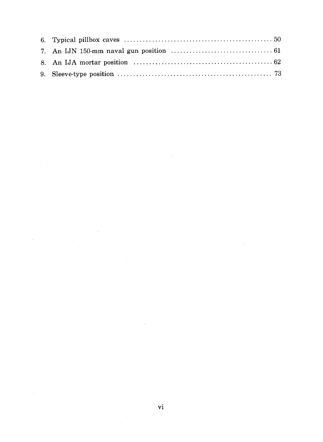$\hat{\boldsymbol{\beta}}$ 

 $\sim 10^{-1}$ 

 $\bar{\mathcal{A}}$ 

 $\sim$   $^{\circ}$ 

 $\bar{z}$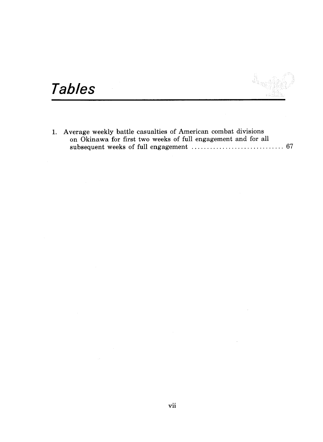á

# **Tables**

1. Average weekly battle casualties of American combat divisions on Okinawa for first two weeks of full engagement and for all subsequent weeks of full engagement .............................. 67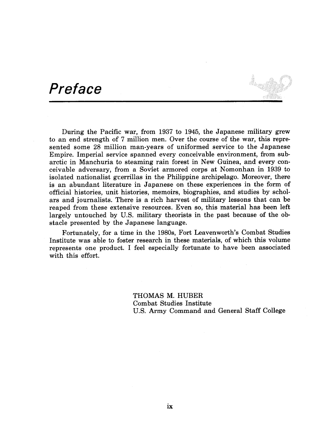### **Preface**

During the Pacific war, from 1937 to 1945, the Japanese military grew to an end strength of 7 million men. Over the course of the war, this represented some 28 million man-years of uniformed service to the Japanese Empire. Imperial service spanned every conceivable environment, from subarctic in Manchuria to steaming rain forest in New Guinea, and every conceivable adversary, from a Soviet armored corps at Nomonhan in 1939 to isolated nationalist guerrillas in the Philippine archipelago. Moreover, there is an abundant literature in Japanese on these experiences in the form of official histories, unit histories, memoirs, biographies, and studies by scholars and journalists. There is a rich harvest of military lessons that can be reaped from these extensive resources. Even so, this material has been left largely untouched by U.S. military theorists in the past because of the obstacle presented by the Japanese language.

Fortunately, for a time in the 1980s, Fort Leavenworth's Combat Studies Institute was able to foster research in these materials, of which this volume represents one product. I feel especially fortunate to have been associated with this effort.

> THOMAS M. HUBER Combat Studies Institute U.S. Army Command and General Staff College